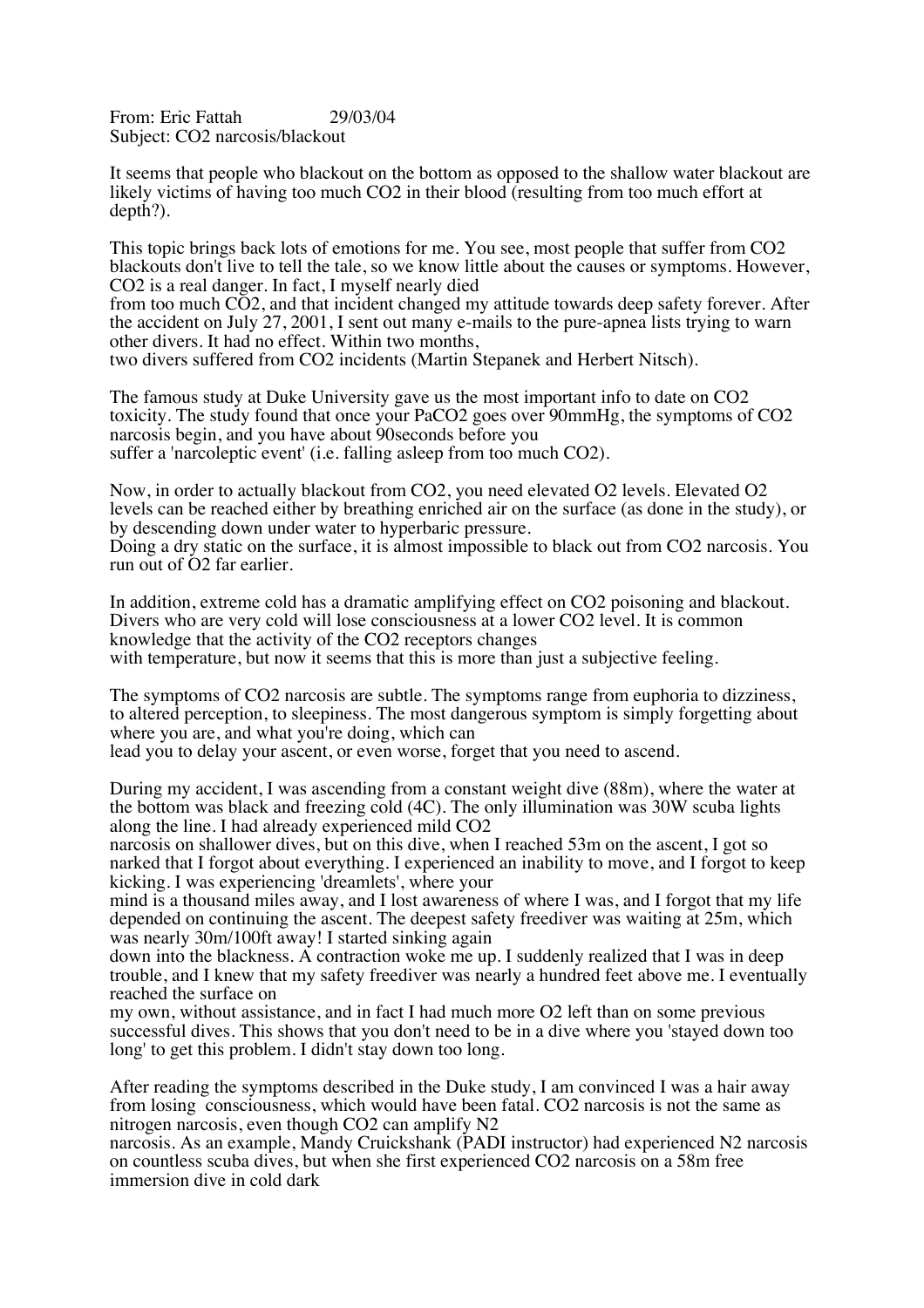From: Eric Fattah 29/03/04 Subject: CO2 narcosis/blackout

It seems that people who blackout on the bottom as opposed to the shallow water blackout are likely victims of having too much CO2 in their blood (resulting from too much effort at depth?).

This topic brings back lots of emotions for me. You see, most people that suffer from CO2 blackouts don't live to tell the tale, so we know little about the causes or symptoms. However, CO2 is a real danger. In fact, I myself nearly died

from too much CO2, and that incident changed my attitude towards deep safety forever. After the accident on July 27, 2001, I sent out many e-mails to the pure-apnea lists trying to warn other divers. It had no effect. Within two months, two divers suffered from CO2 incidents (Martin Stepanek and Herbert Nitsch).

The famous study at Duke University gave us the most important info to date on CO2 toxicity. The study found that once your PaCO2 goes over 90mmHg, the symptoms of CO2 narcosis begin, and you have about 90seconds before you suffer a 'narcoleptic event' (i.e. falling asleep from too much CO2).

Now, in order to actually blackout from CO2, you need elevated O2 levels. Elevated O2 levels can be reached either by breathing enriched air on the surface (as done in the study), or by descending down under water to hyperbaric pressure.

Doing a dry static on the surface, it is almost impossible to black out from CO2 narcosis. You run out of O2 far earlier.

In addition, extreme cold has a dramatic amplifying effect on CO2 poisoning and blackout. Divers who are very cold will lose consciousness at a lower CO2 level. It is common knowledge that the activity of the CO2 receptors changes with temperature, but now it seems that this is more than just a subjective feeling.

The symptoms of CO2 narcosis are subtle. The symptoms range from euphoria to dizziness, to altered perception, to sleepiness. The most dangerous symptom is simply forgetting about where you are, and what you're doing, which can

lead you to delay your ascent, or even worse, forget that you need to ascend.

During my accident, I was ascending from a constant weight dive (88m), where the water at the bottom was black and freezing cold (4C). The only illumination was 30W scuba lights along the line. I had already experienced mild CO2

narcosis on shallower dives, but on this dive, when I reached 53m on the ascent, I got so narked that I forgot about everything. I experienced an inability to move, and I forgot to keep kicking. I was experiencing 'dreamlets', where your

mind is a thousand miles away, and I lost awareness of where I was, and I forgot that my life depended on continuing the ascent. The deepest safety freediver was waiting at 25m, which was nearly 30m/100ft away! I started sinking again

down into the blackness. A contraction woke me up. I suddenly realized that I was in deep trouble, and I knew that my safety freediver was nearly a hundred feet above me. I eventually reached the surface on

my own, without assistance, and in fact I had much more O2 left than on some previous successful dives. This shows that you don't need to be in a dive where you 'stayed down too long' to get this problem. I didn't stay down too long.

After reading the symptoms described in the Duke study, I am convinced I was a hair away from losing consciousness, which would have been fatal. CO2 narcosis is not the same as nitrogen narcosis, even though CO2 can amplify N2

narcosis. As an example, Mandy Cruickshank (PADI instructor) had experienced N2 narcosis on countless scuba dives, but when she first experienced CO2 narcosis on a 58m free immersion dive in cold dark